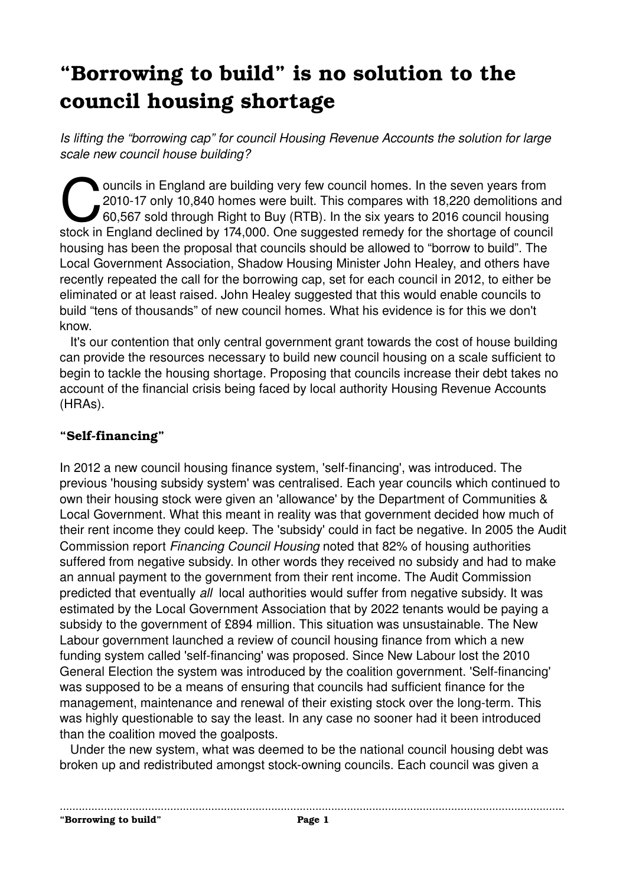# **"Borrowing to build" is no solution to the council housing shortage**

*Is lifting the "borrowing cap" for council Housing Revenue Accounts the solution for large scale new council house building?* 

ouncils in England are building very few council homes. In the seven years from 2010-17 only 10,840 homes were built. This compares with 18,220 demolitions and 60,567 sold through Right to Buy (RTB). In the six years to 2016 council housing ouncils in England are building very few council homes. In the seven years from<br>2010-17 only 10,840 homes were built. This compares with 18,220 demolitions are<br>60,567 sold through Right to Buy (RTB). In the six years to 20 housing has been the proposal that councils should be allowed to "borrow to build". The Local Government Association, Shadow Housing Minister John Healey, and others have recently repeated the call for the borrowing cap, set for each council in 2012, to either be eliminated or at least raised. John Healey suggested that this would enable councils to build "tens of thousands" of new council homes. What his evidence is for this we don't know.

 It's our contention that only central government grant towards the cost of house building can provide the resources necessary to build new council housing on a scale sufficient to begin to tackle the housing shortage. Proposing that councils increase their debt takes no account of the financial crisis being faced by local authority Housing Revenue Accounts (HRAs).

## "Self-financing"

In 2012 a new council housing finance system, 'self-financing', was introduced. The previous 'housing subsidy system' was centralised. Each year councils which continued to own their housing stock were given an 'allowance' by the Department of Communities & Local Government. What this meant in reality was that government decided how much of their rent income they could keep. The 'subsidy' could in fact be negative. In 2005 the Audit Commission report *Financing Council Housing* noted that 82% of housing authorities suffered from negative subsidy. In other words they received no subsidy and had to make an annual payment to the government from their rent income. The Audit Commission predicted that eventually *all*  local authorities would suffer from negative subsidy. It was estimated by the Local Government Association that by 2022 tenants would be paying a subsidy to the government of £894 million. This situation was unsustainable. The New Labour government launched a review of council housing finance from which a new funding system called 'self-financing' was proposed. Since New Labour lost the 2010 General Election the system was introduced by the coalition government. 'Self-financing' was supposed to be a means of ensuring that councils had sufficient finance for the management, maintenance and renewal of their existing stock over the long-term. This was highly questionable to say the least. In any case no sooner had it been introduced than the coalition moved the goalposts.

 Under the new system, what was deemed to be the national council housing debt was broken up and redistributed amongst stock-owning councils. Each council was given a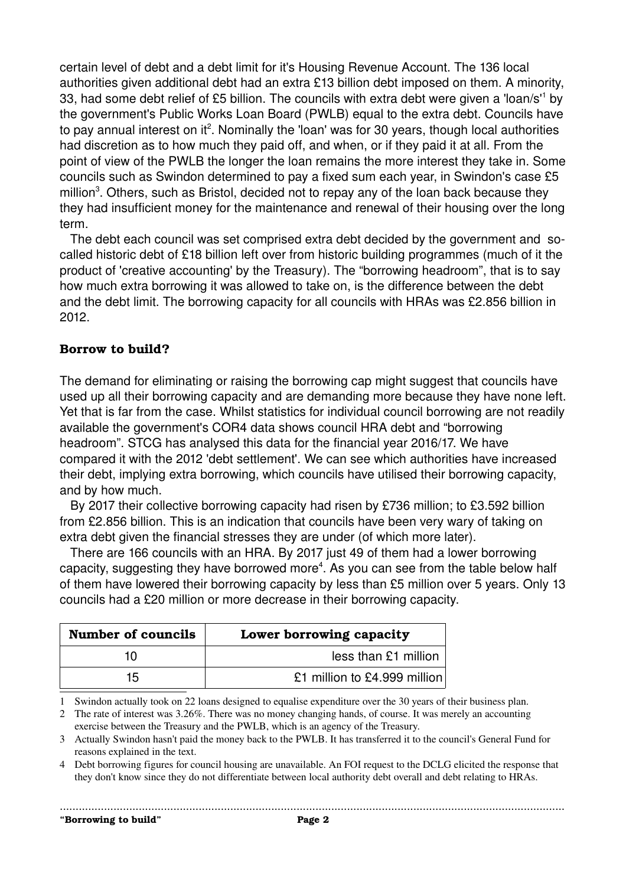certain level of debt and a debt limit for it's Housing Revenue Account. The 136 local authorities given additional debt had an extra £13 billion debt imposed on them. A minority, 33, had some debt relief of £5 billion. The councils with extra debt were given a 'loan/s'<sup>[1](#page-1-0)</sup> by the government's Public Works Loan Board (PWLB) equal to the extra debt. Councils have to pay annual interest on it<sup>[2](#page-1-1)</sup>. Nominally the 'loan' was for 30 years, though local authorities had discretion as to how much they paid off, and when, or if they paid it at all. From the point of view of the PWLB the longer the loan remains the more interest they take in. Some councils such as Swindon determined to pay a fixed sum each year, in Swindon's case £5 million<sup>[3](#page-1-2)</sup>. Others, such as Bristol, decided not to repay any of the loan back because they they had insufficient money for the maintenance and renewal of their housing over the long term.

 The debt each council was set comprised extra debt decided by the government and socalled historic debt of £18 billion left over from historic building programmes (much of it the product of 'creative accounting' by the Treasury). The "borrowing headroom", that is to say how much extra borrowing it was allowed to take on, is the difference between the debt and the debt limit. The borrowing capacity for all councils with HRAs was £2.856 billion in 2012.

#### **Borrow to build?**

The demand for eliminating or raising the borrowing cap might suggest that councils have used up all their borrowing capacity and are demanding more because they have none left. Yet that is far from the case. Whilst statistics for individual council borrowing are not readily available the government's COR4 data shows council HRA debt and "borrowing headroom". STCG has analysed this data for the financial year 2016/17. We have compared it with the 2012 'debt settlement'. We can see which authorities have increased their debt, implying extra borrowing, which councils have utilised their borrowing capacity, and by how much.

 By 2017 their collective borrowing capacity had risen by £736 million; to £3.592 billion from £2.856 billion. This is an indication that councils have been very wary of taking on extra debt given the financial stresses they are under (of which more later).

 There are 166 councils with an HRA. By 2017 just 49 of them had a lower borrowing capacity, suggesting they have borrowed more<sup>[4](#page-1-3)</sup>. As you can see from the table below half of them have lowered their borrowing capacity by less than £5 million over 5 years. Only 13 councils had a £20 million or more decrease in their borrowing capacity.

| <b>Number of councils</b> | Lower borrowing capacity     |
|---------------------------|------------------------------|
| 10                        | less than £1 million         |
| 15                        | £1 million to £4.999 million |

<span id="page-1-0"></span>1 Swindon actually took on 22 loans designed to equalise expenditure over the 30 years of their business plan.

<span id="page-1-1"></span>2 The rate of interest was 3.26%. There was no money changing hands, of course. It was merely an accounting exercise between the Treasury and the PWLB, which is an agency of the Treasury.

<span id="page-1-2"></span>3 Actually Swindon hasn't paid the money back to the PWLB. It has transferred it to the council's General Fund for reasons explained in the text.

<span id="page-1-3"></span>4 Debt borrowing figures for council housing are unavailable. An FOI request to the DCLG elicited the response that they don't know since they do not differentiate between local authority debt overall and debt relating to HRAs.

**"Borrowing to build" Page 2**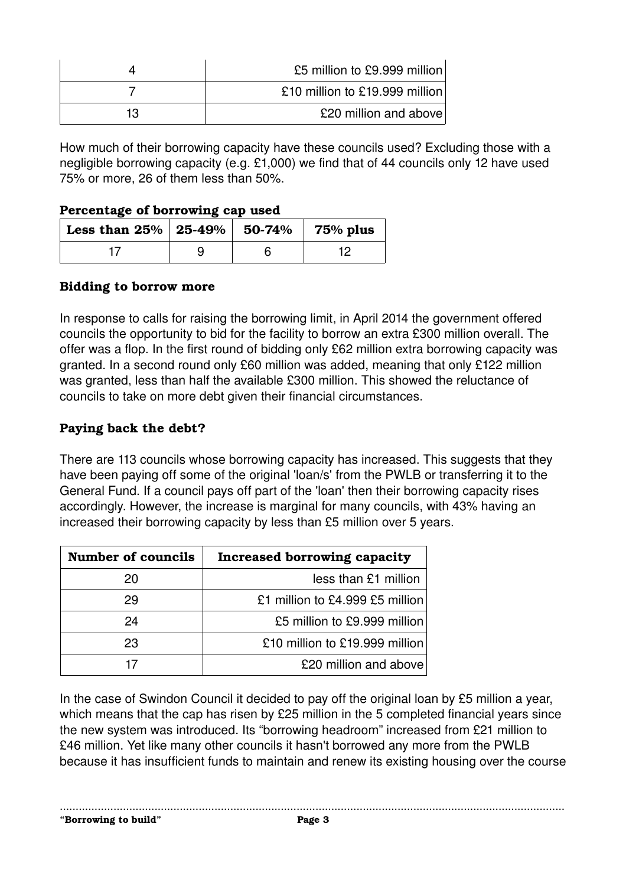|    | £5 million to £9.999 million   |
|----|--------------------------------|
|    | £10 million to £19.999 million |
| 13 | £20 million and above          |

How much of their borrowing capacity have these councils used? Excluding those with a negligible borrowing capacity (e.g. £1,000) we find that of 44 councils only 12 have used 75% or more, 26 of them less than 50%.

#### **Percentage of borrowing cap used**

| Less than $25\%$   $25-49\%$   50-74% |  | $75%$ plus |
|---------------------------------------|--|------------|
|                                       |  |            |

#### **Bidding to borrow more**

In response to calls for raising the borrowing limit, in April 2014 the government offered councils the opportunity to bid for the facility to borrow an extra £300 million overall. The offer was a flop. In the first round of bidding only £62 million extra borrowing capacity was granted. In a second round only £60 million was added, meaning that only £122 million was granted, less than half the available £300 million. This showed the reluctance of councils to take on more debt given their financial circumstances.

## **Paying back the debt?**

There are 113 councils whose borrowing capacity has increased. This suggests that they have been paying off some of the original 'loan/s' from the PWLB or transferring it to the General Fund. If a council pays off part of the 'loan' then their borrowing capacity rises accordingly. However, the increase is marginal for many councils, with 43% having an increased their borrowing capacity by less than £5 million over 5 years.

| <b>Number of councils</b> | Increased borrowing capacity    |
|---------------------------|---------------------------------|
| 20                        | less than £1 million            |
| 29                        | £1 million to £4.999 £5 million |
| 24                        | £5 million to £9.999 million    |
| 23                        | £10 million to £19.999 million  |
|                           | £20 million and above           |

In the case of Swindon Council it decided to pay off the original loan by £5 million a year, which means that the cap has risen by £25 million in the 5 completed financial years since the new system was introduced. Its "borrowing headroom" increased from £21 million to £46 million. Yet like many other councils it hasn't borrowed any more from the PWLB because it has insufficient funds to maintain and renew its existing housing over the course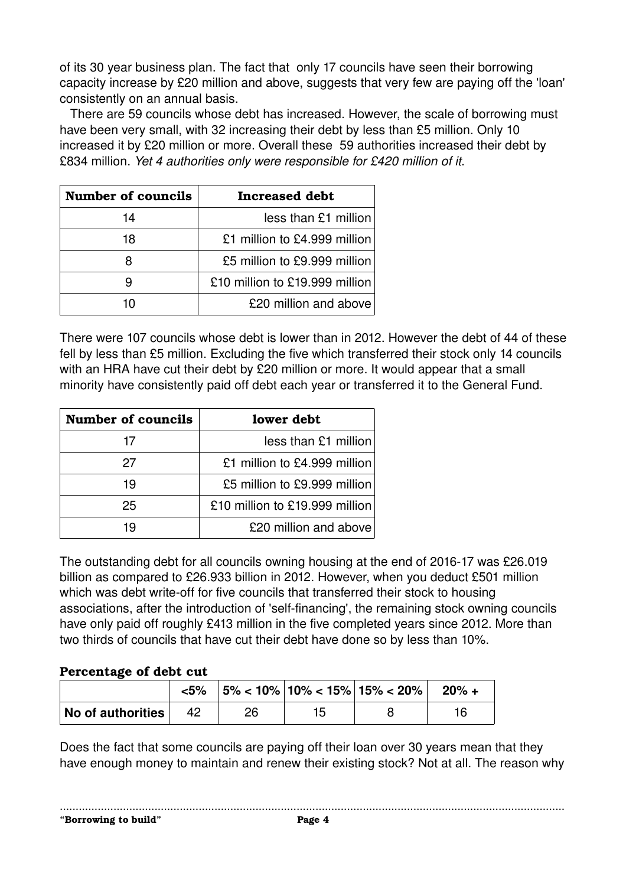of its 30 year business plan. The fact that only 17 councils have seen their borrowing capacity increase by £20 million and above, suggests that very few are paying off the 'loan' consistently on an annual basis.

 There are 59 councils whose debt has increased. However, the scale of borrowing must have been very small, with 32 increasing their debt by less than £5 million. Only 10 increased it by £20 million or more. Overall these 59 authorities increased their debt by £834 million. *Yet 4 authorities only were responsible for £420 million of it*.

| <b>Number of councils</b> | <b>Increased debt</b>          |  |  |
|---------------------------|--------------------------------|--|--|
| 14                        | $less than £1$ million         |  |  |
| 18                        | £1 million to £4.999 million   |  |  |
| я                         | £5 million to £9.999 million   |  |  |
|                           | £10 million to £19.999 million |  |  |
|                           | £20 million and above          |  |  |

There were 107 councils whose debt is lower than in 2012. However the debt of 44 of these fell by less than £5 million. Excluding the five which transferred their stock only 14 councils with an HRA have cut their debt by £20 million or more. It would appear that a small minority have consistently paid off debt each year or transferred it to the General Fund.

| <b>Number of councils</b> | lower debt                     |
|---------------------------|--------------------------------|
| 17                        | less than £1 million           |
| 27                        | £1 million to £4.999 million   |
| 19                        | £5 million to £9.999 million   |
| 25                        | £10 million to £19.999 million |
| 19                        | £20 million and above          |

The outstanding debt for all councils owning housing at the end of 2016-17 was £26.019 billion as compared to £26.933 billion in 2012. However, when you deduct £501 million which was debt write-off for five councils that transferred their stock to housing associations, after the introduction of 'self-financing', the remaining stock owning councils have only paid off roughly £413 million in the five completed years since 2012. More than two thirds of councils that have cut their debt have done so by less than 10%.

#### **Percentage of debt cut**

|                   | <5% |  | $ 5\% $ < 10% $ 10\% $ < 15% $ 15\% $ < 20% $ 20\% $ |  |
|-------------------|-----|--|------------------------------------------------------|--|
| No of authorities | -42 |  |                                                      |  |

Does the fact that some councils are paying off their loan over 30 years mean that they have enough money to maintain and renew their existing stock? Not at all. The reason why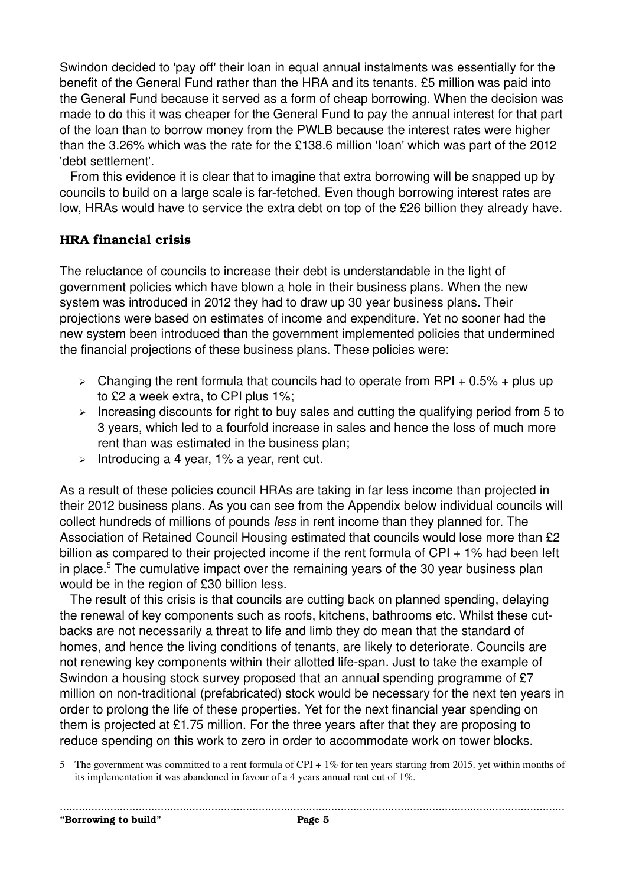Swindon decided to 'pay off' their loan in equal annual instalments was essentially for the benefit of the General Fund rather than the HRA and its tenants. £5 million was paid into the General Fund because it served as a form of cheap borrowing. When the decision was made to do this it was cheaper for the General Fund to pay the annual interest for that part of the loan than to borrow money from the PWLB because the interest rates were higher than the 3.26% which was the rate for the £138.6 million 'loan' which was part of the 2012 'debt settlement'.

 From this evidence it is clear that to imagine that extra borrowing will be snapped up by councils to build on a large scale is far-fetched. Even though borrowing interest rates are low, HRAs would have to service the extra debt on top of the £26 billion they already have.

#### **HRA financial crisis**

The reluctance of councils to increase their debt is understandable in the light of government policies which have blown a hole in their business plans. When the new system was introduced in 2012 they had to draw up 30 year business plans. Their projections were based on estimates of income and expenditure. Yet no sooner had the new system been introduced than the government implemented policies that undermined the financial projections of these business plans. These policies were:

- $\geq$  Changing the rent formula that councils had to operate from RPI + 0.5% + plus up to £2 a week extra, to CPI plus 1%;
- $\triangleright$  Increasing discounts for right to buy sales and cutting the qualifying period from 5 to 3 years, which led to a fourfold increase in sales and hence the loss of much more rent than was estimated in the business plan;
- $\triangleright$  Introducing a 4 year, 1% a year, rent cut.

As a result of these policies council HRAs are taking in far less income than projected in their 2012 business plans. As you can see from the Appendix below individual councils will collect hundreds of millions of pounds *less* in rent income than they planned for. The Association of Retained Council Housing estimated that councils would lose more than £2 billion as compared to their projected income if the rent formula of  $CPI + 1\%$  had been left in place.<sup>[5](#page-4-0)</sup> The cumulative impact over the remaining years of the 30 year business plan would be in the region of £30 billion less.

 The result of this crisis is that councils are cutting back on planned spending, delaying the renewal of key components such as roofs, kitchens, bathrooms etc. Whilst these cutbacks are not necessarily a threat to life and limb they do mean that the standard of homes, and hence the living conditions of tenants, are likely to deteriorate. Councils are not renewing key components within their allotted life-span. Just to take the example of Swindon a housing stock survey proposed that an annual spending programme of £7 million on non-traditional (prefabricated) stock would be necessary for the next ten years in order to prolong the life of these properties. Yet for the next financial year spending on them is projected at £1.75 million. For the three years after that they are proposing to reduce spending on this work to zero in order to accommodate work on tower blocks.

<span id="page-4-0"></span><sup>5</sup> The government was committed to a rent formula of CPI + 1% for ten years starting from 2015. yet within months of its implementation it was abandoned in favour of a 4 years annual rent cut of 1%.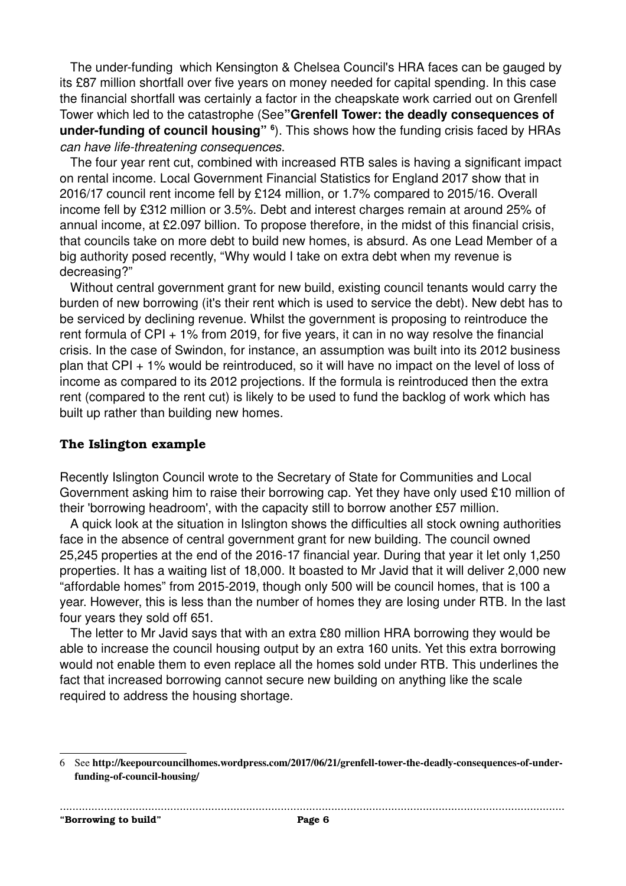The under-funding which Kensington & Chelsea Council's HRA faces can be gauged by its £87 million shortfall over five years on money needed for capital spending. In this case the financial shortfall was certainly a factor in the cheapskate work carried out on Grenfell Tower which led to the catastrophe (See**"Grenfell Tower: the deadly consequences of** under-funding of council housing" <sup>[6](#page-5-0)</sup>). This shows how the funding crisis faced by HRAs *can have lifethreatening consequences*.

 The four year rent cut, combined with increased RTB sales is having a significant impact on rental income. Local Government Financial Statistics for England 2017 show that in 2016/17 council rent income fell by £124 million, or 1.7% compared to 2015/16. Overall income fell by £312 million or 3.5%. Debt and interest charges remain at around 25% of annual income, at £2.097 billion. To propose therefore, in the midst of this financial crisis, that councils take on more debt to build new homes, is absurd. As one Lead Member of a big authority posed recently, "Why would I take on extra debt when my revenue is decreasing?"

 Without central government grant for new build, existing council tenants would carry the burden of new borrowing (it's their rent which is used to service the debt). New debt has to be serviced by declining revenue. Whilst the government is proposing to reintroduce the rent formula of CPI + 1% from 2019, for five years, it can in no way resolve the financial crisis. In the case of Swindon, for instance, an assumption was built into its 2012 business plan that CPI + 1% would be reintroduced, so it will have no impact on the level of loss of income as compared to its 2012 projections. If the formula is reintroduced then the extra rent (compared to the rent cut) is likely to be used to fund the backlog of work which has built up rather than building new homes.

#### **The Islington example**

Recently Islington Council wrote to the Secretary of State for Communities and Local Government asking him to raise their borrowing cap. Yet they have only used £10 million of their 'borrowing headroom', with the capacity still to borrow another £57 million.

 A quick look at the situation in Islington shows the difficulties all stock owning authorities face in the absence of central government grant for new building. The council owned 25,245 properties at the end of the 2016-17 financial year. During that year it let only 1,250 properties. It has a waiting list of 18,000. It boasted to Mr Javid that it will deliver 2,000 new "affordable homes" from 2015-2019, though only 500 will be council homes, that is 100 a year. However, this is less than the number of homes they are losing under RTB. In the last four years they sold off 651.

 The letter to Mr Javid says that with an extra £80 million HRA borrowing they would be able to increase the council housing output by an extra 160 units. Yet this extra borrowing would not enable them to even replace all the homes sold under RTB. This underlines the fact that increased borrowing cannot secure new building on anything like the scale required to address the housing shortage.

**"Borrowing to build" Page 6**

<span id="page-5-0"></span><sup>6</sup> See http://keepourcouncilhomes.wordpress.com/2017/06/21/grenfell-tower-the-deadly-consequences-of-underfunding-of-council-housing/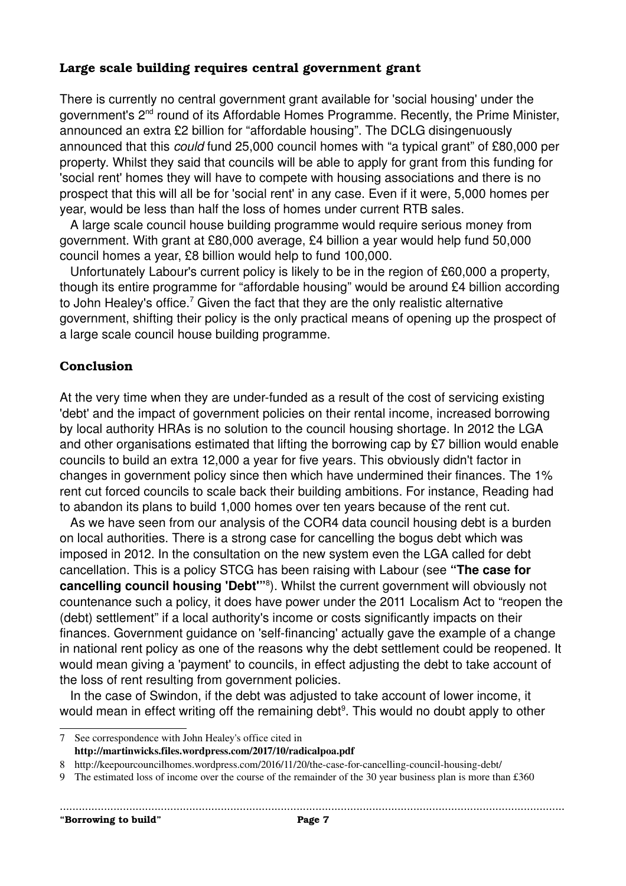#### **Large scale building requires central government grant**

There is currently no central government grant available for 'social housing' under the government's 2nd round of its Affordable Homes Programme. Recently, the Prime Minister, announced an extra £2 billion for "affordable housing". The DCLG disingenuously announced that this *could* fund 25,000 council homes with "a typical grant" of £80,000 per property. Whilst they said that councils will be able to apply for grant from this funding for 'social rent' homes they will have to compete with housing associations and there is no prospect that this will all be for 'social rent' in any case. Even if it were, 5,000 homes per year, would be less than half the loss of homes under current RTB sales.

 A large scale council house building programme would require serious money from government. With grant at £80,000 average, £4 billion a year would help fund 50,000 council homes a year, £8 billion would help to fund 100,000.

 Unfortunately Labour's current policy is likely to be in the region of £60,000 a property, though its entire programme for "affordable housing" would be around £4 billion according to John Healey's office.<sup>[7](#page-6-0)</sup> Given the fact that they are the only realistic alternative government, shifting their policy is the only practical means of opening up the prospect of a large scale council house building programme.

#### **Conclusion**

At the very time when they are under-funded as a result of the cost of servicing existing 'debt' and the impact of government policies on their rental income, increased borrowing by local authority HRAs is no solution to the council housing shortage. In 2012 the LGA and other organisations estimated that lifting the borrowing cap by £7 billion would enable councils to build an extra 12,000 a year for five years. This obviously didn't factor in changes in government policy since then which have undermined their finances. The 1% rent cut forced councils to scale back their building ambitions. For instance, Reading had to abandon its plans to build 1,000 homes over ten years because of the rent cut.

 As we have seen from our analysis of the COR4 data council housing debt is a burden on local authorities. There is a strong case for cancelling the bogus debt which was imposed in 2012. In the consultation on the new system even the LGA called for debt cancellation. This is a policy STCG has been raising with Labour (see **"The case for cancelling council housing 'Debt'"**[8](#page-6-1) ). Whilst the current government will obviously not countenance such a policy, it does have power under the 2011 Localism Act to "reopen the (debt) settlement" if a local authority's income or costs significantly impacts on their finances. Government guidance on 'self-financing' actually gave the example of a change in national rent policy as one of the reasons why the debt settlement could be reopened. It would mean giving a 'payment' to councils, in effect adjusting the debt to take account of the loss of rent resulting from government policies.

 In the case of Swindon, if the debt was adjusted to take account of lower income, it would mean in effect writing off the remaining debt<sup>[9](#page-6-2)</sup>. This would no doubt apply to other

<span id="page-6-0"></span><sup>7</sup> See correspondence with John Healey's office cited in http://martinwicks.files.wordpress.com/2017/10/radicalpoa.pdf

<span id="page-6-1"></span><sup>8</sup> http://keepourcouncilhomes.wordpress.com/2016/11/20/the-case-for-cancelling-council-housing-debt/

<span id="page-6-2"></span><sup>9</sup> The estimated loss of income over the course of the remainder of the 30 year business plan is more than £360